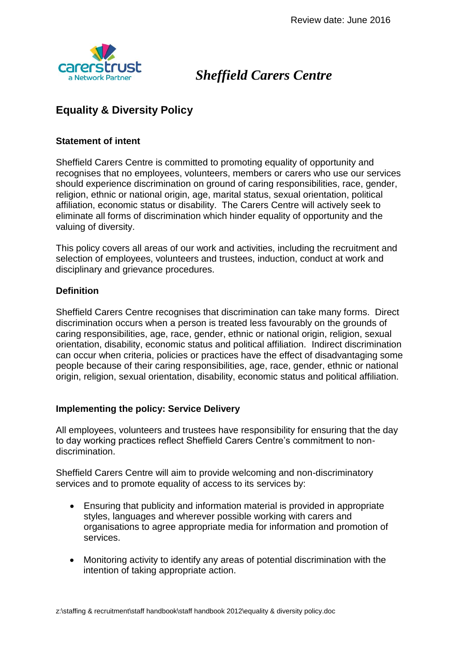

# *Sheffield Carers Centre*

# **Equality & Diversity Policy**

### **Statement of intent**

Sheffield Carers Centre is committed to promoting equality of opportunity and recognises that no employees, volunteers, members or carers who use our services should experience discrimination on ground of caring responsibilities, race, gender, religion, ethnic or national origin, age, marital status, sexual orientation, political affiliation, economic status or disability. The Carers Centre will actively seek to eliminate all forms of discrimination which hinder equality of opportunity and the valuing of diversity.

This policy covers all areas of our work and activities, including the recruitment and selection of employees, volunteers and trustees, induction, conduct at work and disciplinary and grievance procedures.

## **Definition**

Sheffield Carers Centre recognises that discrimination can take many forms. Direct discrimination occurs when a person is treated less favourably on the grounds of caring responsibilities, age, race, gender, ethnic or national origin, religion, sexual orientation, disability, economic status and political affiliation. Indirect discrimination can occur when criteria, policies or practices have the effect of disadvantaging some people because of their caring responsibilities, age, race, gender, ethnic or national origin, religion, sexual orientation, disability, economic status and political affiliation.

#### **Implementing the policy: Service Delivery**

All employees, volunteers and trustees have responsibility for ensuring that the day to day working practices reflect Sheffield Carers Centre's commitment to nondiscrimination.

Sheffield Carers Centre will aim to provide welcoming and non-discriminatory services and to promote equality of access to its services by:

- Ensuring that publicity and information material is provided in appropriate styles, languages and wherever possible working with carers and organisations to agree appropriate media for information and promotion of services.
- Monitoring activity to identify any areas of potential discrimination with the intention of taking appropriate action.